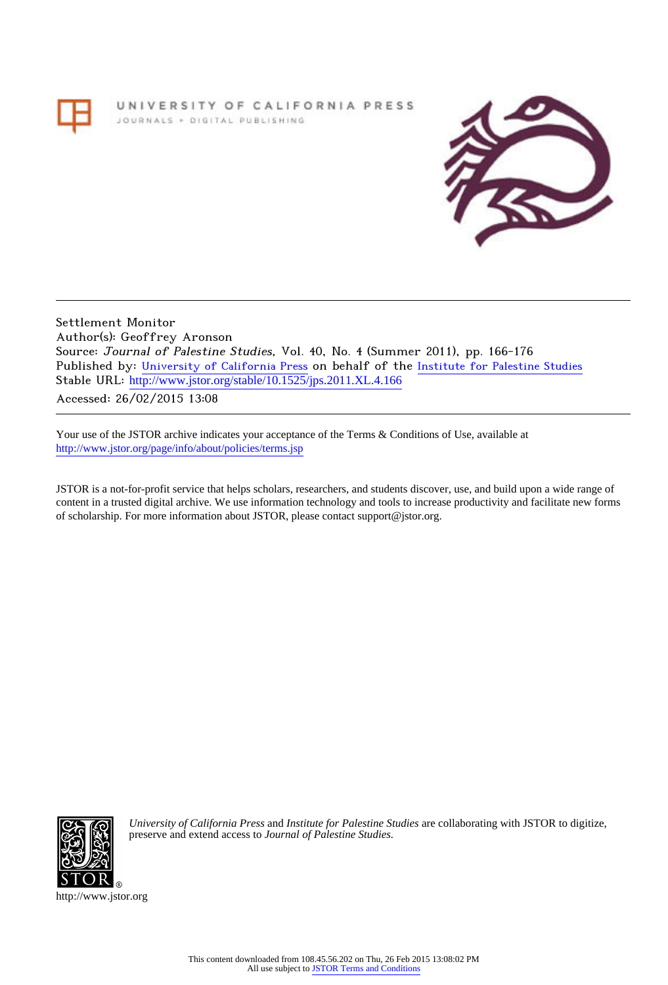# UNIVERSITY OF CALIFORNIA PRESS JOURNALS + DIGITAL PUBLISHING



Settlement Monitor Author(s): Geoffrey Aronson Source: Journal of Palestine Studies, Vol. 40, No. 4 (Summer 2011), pp. 166-176 Published by: [University of California Press](http://www.jstor.org/action/showPublisher?publisherCode=ucal) on behalf of the [Institute for Palestine Studies](http://www.jstor.org/action/showPublisher?publisherCode=palstud) Stable URL: [http://www.jstor.org/stable/10.1525/jps.2011.XL.4.166](http://www.jstor.org/stable/10.1525/jps.2011.XL.4.166?origin=JSTOR-pdf)

Accessed: 26/02/2015 13:08

Your use of the JSTOR archive indicates your acceptance of the Terms & Conditions of Use, available at <http://www.jstor.org/page/info/about/policies/terms.jsp>

JSTOR is a not-for-profit service that helps scholars, researchers, and students discover, use, and build upon a wide range of content in a trusted digital archive. We use information technology and tools to increase productivity and facilitate new forms of scholarship. For more information about JSTOR, please contact support@jstor.org.



*University of California Press* and *Institute for Palestine Studies* are collaborating with JSTOR to digitize, preserve and extend access to *Journal of Palestine Studies.*

http://www.jstor.org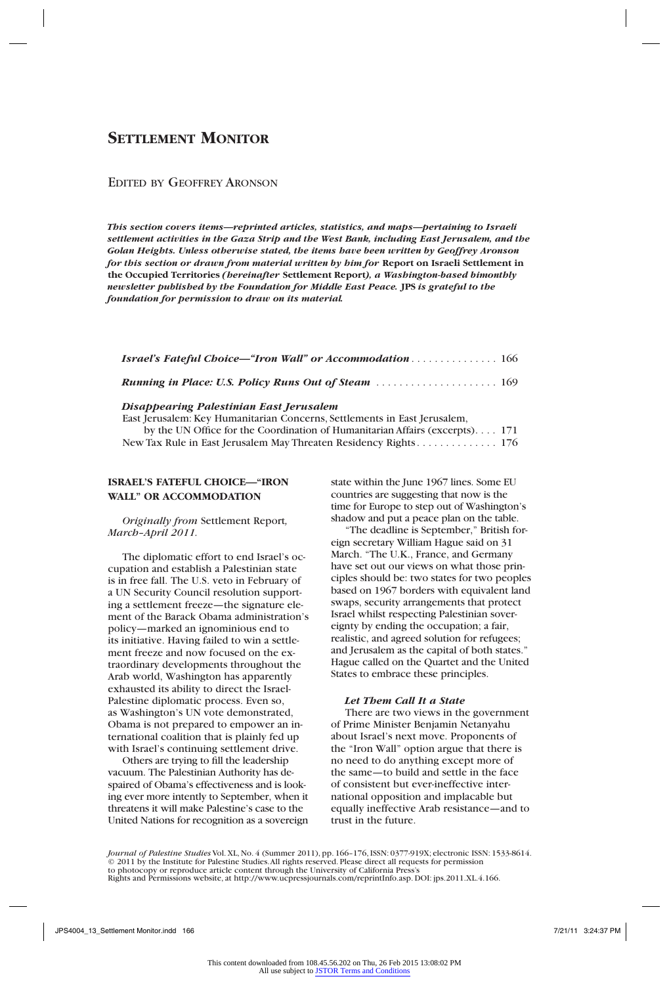# **Settlement Monitor**

# Edited by Geoffrey Aronson

*This section covers items—reprinted articles, statistics, and maps—pertaining to Israeli settlement activities in the Gaza Strip and the West Bank, including East Jerusalem, and the Golan Heights. Unless otherwise stated, the items have been written by Geoffrey Aronson for this section or drawn from material written by him for* **Report on Israeli Settlement in the Occupied Territories** *(hereinafter* **Settlement Report***), a Washington-based bimonthly newsletter published by the Foundation for Middle East Peace.* **JPS** *is grateful to the foundation for permission to draw on its material.*

| <b>Israel's Fateful Choice—"Iron Wall" or Accommodation 166</b> |  |
|-----------------------------------------------------------------|--|
| <b>Running in Place: U.S. Policy Runs Out of Steam </b> 169     |  |

#### *Disappearing Palestinian East Jerusalem*

East Jerusalem: Key Humanitarian Concerns, Settlements in East Jerusalem, by the UN Office for the Coordination of Humanitarian Affairs (excerpts). . . 171 New Tax Rule in East Jerusalem May Threaten Residency Rights. . . . . . . . . . . . . . . 176

# **ISRAEL'S FATEFUL CHOICE—"IRON WALL" OR ACCOMMODATION**

*Originally from* Settlement Report*, March–April 2011.*

The diplomatic effort to end Israel's occupation and establish a Palestinian state is in free fall. The U.S. veto in February of a UN Security Council resolution supporting a settlement freeze—the signature element of the Barack Obama administration's policy—marked an ignominious end to its initiative. Having failed to win a settlement freeze and now focused on the extraordinary developments throughout the Arab world, Washington has apparently exhausted its ability to direct the Israel-Palestine diplomatic process. Even so, as Washington's UN vote demonstrated, Obama is not prepared to empower an international coalition that is plainly fed up with Israel's continuing settlement drive.

Others are trying to fill the leadership vacuum. The Palestinian Authority has despaired of Obama's effectiveness and is looking ever more intently to September, when it threatens it will make Palestine's case to the United Nations for recognition as a sovereign state within the June 1967 lines. Some EU countries are suggesting that now is the time for Europe to step out of Washington's shadow and put a peace plan on the table.

"The deadline is September," British foreign secretary William Hague said on 31 March. "The U.K., France, and Germany have set out our views on what those principles should be: two states for two peoples based on 1967 borders with equivalent land swaps, security arrangements that protect Israel whilst respecting Palestinian sovereignty by ending the occupation; a fair, realistic, and agreed solution for refugees; and Jerusalem as the capital of both states." Hague called on the Quartet and the United States to embrace these principles.

## *Let Them Call It a State*

There are two views in the government of Prime Minister Benjamin Netanyahu about Israel's next move. Proponents of the "Iron Wall" option argue that there is no need to do anything except more of the same—to build and settle in the face of consistent but ever-ineffective international opposition and implacable but equally ineffective Arab resistance—and to trust in the future.

*Journal of Palestine Studies* Vol. XL, No. 4 (Summer 2011), pp. 166–176, ISSN: 0377-919X; electronic ISSN: 1533-8614. © 2011 by the Institute for Palestine Studies.All rights reserved. Please direct all requests for permission<br>to photocopy or reproduce article content through the University of California Press's<br>Rights and Permissions web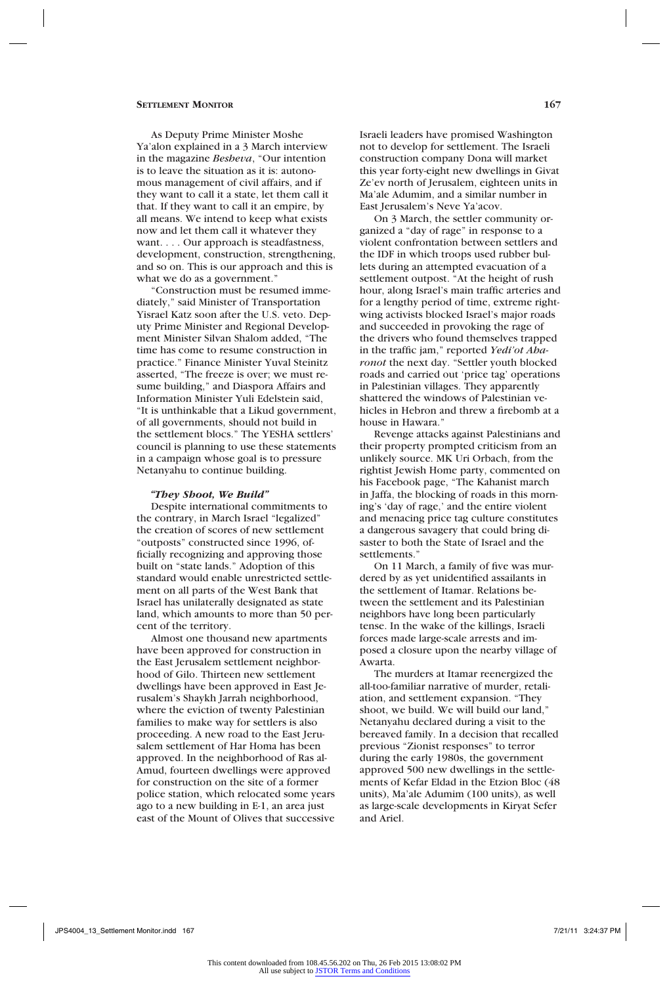As Deputy Prime Minister Moshe Ya'alon explained in a 3 March interview in the magazine *Besheva*, "Our intention is to leave the situation as it is: autonomous management of civil affairs, and if they want to call it a state, let them call it that. If they want to call it an empire, by all means. We intend to keep what exists now and let them call it whatever they want. . . . Our approach is steadfastness, development, construction, strengthening, and so on. This is our approach and this is what we do as a government."

"Construction must be resumed immediately," said Minister of Transportation Yisrael Katz soon after the U.S. veto. Deputy Prime Minister and Regional Development Minister Silvan Shalom added, "The time has come to resume construction in practice." Finance Minister Yuval Steinitz asserted, "The freeze is over; we must resume building," and Diaspora Affairs and Information Minister Yuli Edelstein said, "It is unthinkable that a Likud government, of all governments, should not build in the settlement blocs." The YESHA settlers' council is planning to use these statements in a campaign whose goal is to pressure Netanyahu to continue building.

#### *"They Shoot, We Build"*

Despite international commitments to the contrary, in March Israel "legalized" the creation of scores of new settlement "outposts" constructed since 1996, officially recognizing and approving those built on "state lands." Adoption of this standard would enable unrestricted settlement on all parts of the West Bank that Israel has unilaterally designated as state land, which amounts to more than 50 percent of the territory.

Almost one thousand new apartments have been approved for construction in the East Jerusalem settlement neighborhood of Gilo. Thirteen new settlement dwellings have been approved in East Jerusalem's Shaykh Jarrah neighborhood, where the eviction of twenty Palestinian families to make way for settlers is also proceeding. A new road to the East Jerusalem settlement of Har Homa has been approved. In the neighborhood of Ras al-Amud, fourteen dwellings were approved for construction on the site of a former police station, which relocated some years ago to a new building in E-1, an area just east of the Mount of Olives that successive Israeli leaders have promised Washington not to develop for settlement. The Israeli construction company Dona will market this year forty-eight new dwellings in Givat Ze'ev north of Jerusalem, eighteen units in Ma'ale Adumim, and a similar number in East Jerusalem's Neve Ya'acov.

On 3 March, the settler community organized a "day of rage" in response to a violent confrontation between settlers and the IDF in which troops used rubber bullets during an attempted evacuation of a settlement outpost. "At the height of rush hour, along Israel's main traffic arteries and for a lengthy period of time, extreme rightwing activists blocked Israel's major roads and succeeded in provoking the rage of the drivers who found themselves trapped in the traffic jam," reported *Yedi'ot Aharonot* the next day. "Settler youth blocked roads and carried out 'price tag' operations in Palestinian villages. They apparently shattered the windows of Palestinian vehicles in Hebron and threw a firebomb at a house in Hawara.'

Revenge attacks against Palestinians and their property prompted criticism from an unlikely source. MK Uri Orbach, from the rightist Jewish Home party, commented on his Facebook page, "The Kahanist march in Jaffa, the blocking of roads in this morning's 'day of rage,' and the entire violent and menacing price tag culture constitutes a dangerous savagery that could bring disaster to both the State of Israel and the settlements."

On 11 March, a family of five was murdered by as yet unidentified assailants in the settlement of Itamar. Relations between the settlement and its Palestinian neighbors have long been particularly tense. In the wake of the killings, Israeli forces made large-scale arrests and imposed a closure upon the nearby village of Awarta.

The murders at Itamar reenergized the all-too-familiar narrative of murder, retaliation, and settlement expansion. "They shoot, we build. We will build our land," Netanyahu declared during a visit to the bereaved family. In a decision that recalled previous "Zionist responses" to terror during the early 1980s, the government approved 500 new dwellings in the settlements of Kefar Eldad in the Etzion Bloc (48 units), Ma'ale Adumim (100 units), as well as large-scale developments in Kiryat Sefer and Ariel.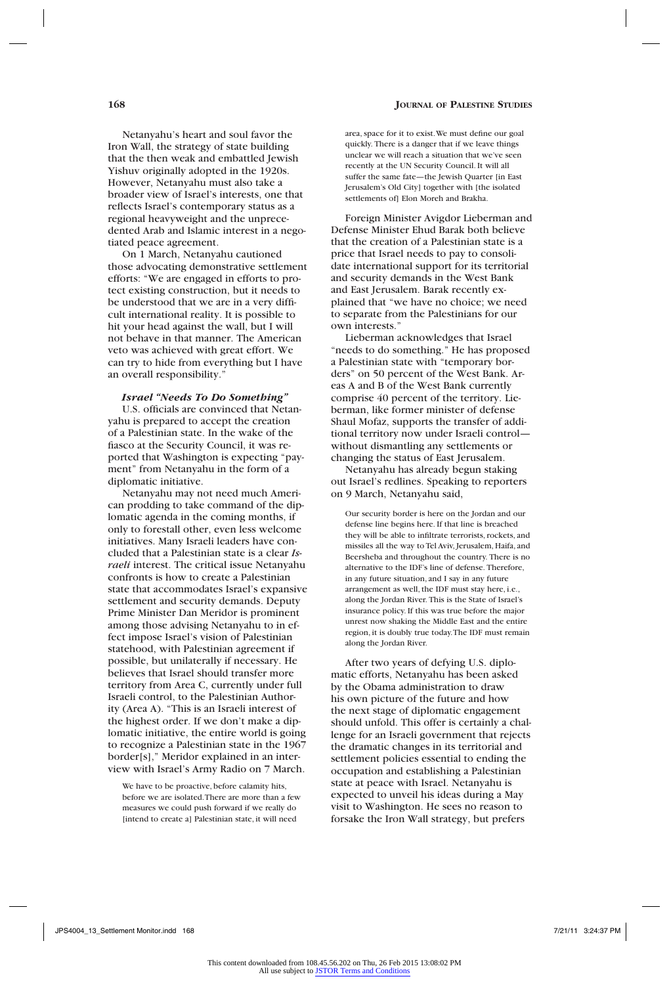Netanyahu's heart and soul favor the Iron Wall, the strategy of state building that the then weak and embattled Jewish Yishuv originally adopted in the 1920s. However, Netanyahu must also take a broader view of Israel's interests, one that reflects Israel's contemporary status as a regional heavyweight and the unprecedented Arab and Islamic interest in a negotiated peace agreement.

On 1 March, Netanyahu cautioned those advocating demonstrative settlement efforts: "We are engaged in efforts to protect existing construction, but it needs to be understood that we are in a very difficult international reality. It is possible to hit your head against the wall, but I will not behave in that manner. The American veto was achieved with great effort. We can try to hide from everything but I have an overall responsibility."

#### *Israel "Needs To Do Something"*

U.S. officials are convinced that Netanyahu is prepared to accept the creation of a Palestinian state. In the wake of the fiasco at the Security Council, it was reported that Washington is expecting "payment" from Netanyahu in the form of a diplomatic initiative.

Netanyahu may not need much American prodding to take command of the diplomatic agenda in the coming months, if only to forestall other, even less welcome initiatives. Many Israeli leaders have concluded that a Palestinian state is a clear *Israeli* interest. The critical issue Netanyahu confronts is how to create a Palestinian state that accommodates Israel's expansive settlement and security demands. Deputy Prime Minister Dan Meridor is prominent among those advising Netanyahu to in effect impose Israel's vision of Palestinian statehood, with Palestinian agreement if possible, but unilaterally if necessary. He believes that Israel should transfer more territory from Area C, currently under full Israeli control, to the Palestinian Authority (Area A). "This is an Israeli interest of the highest order. If we don't make a diplomatic initiative, the entire world is going to recognize a Palestinian state in the 1967 border[s]," Meridor explained in an interview with Israel's Army Radio on 7 March.

We have to be proactive, before calamity hits, before we are isolated. There are more than a few measures we could push forward if we really do [intend to create a] Palestinian state, it will need

area, space for it to exist. We must define our goal quickly. There is a danger that if we leave things unclear we will reach a situation that we've seen recently at the UN Security Council. It will all suffer the same fate—the Jewish Quarter [in East Jerusalem's Old City] together with [the isolated settlements of] Elon Moreh and Brakha.

Foreign Minister Avigdor Lieberman and Defense Minister Ehud Barak both believe that the creation of a Palestinian state is a price that Israel needs to pay to consolidate international support for its territorial and security demands in the West Bank and East Jerusalem. Barak recently explained that "we have no choice; we need to separate from the Palestinians for our own interests."

Lieberman acknowledges that Israel "needs to do something." He has proposed a Palestinian state with "temporary borders" on 50 percent of the West Bank. Areas A and B of the West Bank currently comprise 40 percent of the territory. Lieberman, like former minister of defense Shaul Mofaz, supports the transfer of additional territory now under Israeli control without dismantling any settlements or changing the status of East Jerusalem.

Netanyahu has already begun staking out Israel's redlines. Speaking to reporters on 9 March, Netanyahu said,

Our security border is here on the Jordan and our defense line begins here. If that line is breached they will be able to infiltrate terrorists, rockets, and missiles all the way to Tel Aviv, Jerusalem, Haifa, and Beersheba and throughout the country. There is no alternative to the IDF's line of defense. Therefore, in any future situation, and I say in any future arrangement as well, the IDF must stay here, i.e., along the Jordan River. This is the State of Israel's insurance policy. If this was true before the major unrest now shaking the Middle East and the entire region, it is doubly true today. The IDF must remain along the Jordan River.

After two years of defying U.S. diplomatic efforts, Netanyahu has been asked by the Obama administration to draw his own picture of the future and how the next stage of diplomatic engagement should unfold. This offer is certainly a challenge for an Israeli government that rejects the dramatic changes in its territorial and settlement policies essential to ending the occupation and establishing a Palestinian state at peace with Israel. Netanyahu is expected to unveil his ideas during a May visit to Washington. He sees no reason to forsake the Iron Wall strategy, but prefers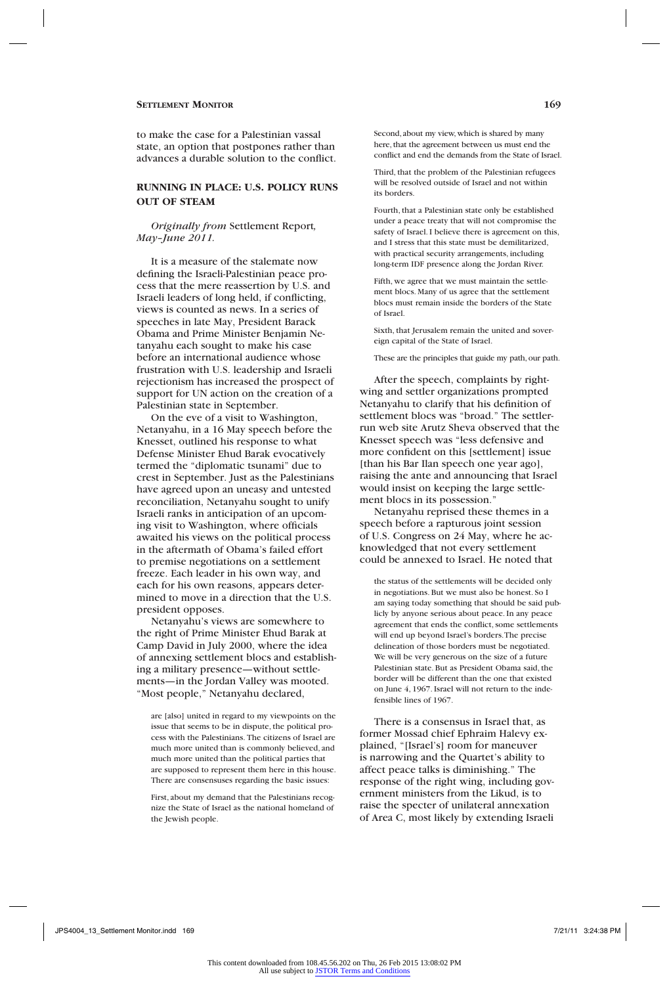to make the case for a Palestinian vassal state, an option that postpones rather than advances a durable solution to the conflict.

# **RUNNING IN PLACE: U.S. POLICY RUNS OUT OF STEAM**

*Originally from* Settlement Report*, May–June 2011.*

It is a measure of the stalemate now defining the Israeli-Palestinian peace process that the mere reassertion by U.S. and Israeli leaders of long held, if conflicting, views is counted as news. In a series of speeches in late May, President Barack Obama and Prime Minister Benjamin Netanyahu each sought to make his case before an international audience whose frustration with U.S. leadership and Israeli rejectionism has increased the prospect of support for UN action on the creation of a Palestinian state in September.

On the eve of a visit to Washington, Netanyahu, in a 16 May speech before the Knesset, outlined his response to what Defense Minister Ehud Barak evocatively termed the "diplomatic tsunami" due to crest in September. Just as the Palestinians have agreed upon an uneasy and untested reconciliation, Netanyahu sought to unify Israeli ranks in anticipation of an upcoming visit to Washington, where officials awaited his views on the political process in the aftermath of Obama's failed effort to premise negotiations on a settlement freeze. Each leader in his own way, and each for his own reasons, appears determined to move in a direction that the U.S. president opposes.

Netanyahu's views are somewhere to the right of Prime Minister Ehud Barak at Camp David in July 2000, where the idea of annexing settlement blocs and establishing a military presence—without settlements—in the Jordan Valley was mooted. "Most people," Netanyahu declared,

are [also] united in regard to my viewpoints on the issue that seems to be in dispute, the political process with the Palestinians. The citizens of Israel are much more united than is commonly believed, and much more united than the political parties that are supposed to represent them here in this house. There are consensuses regarding the basic issues:

First, about my demand that the Palestinians recognize the State of Israel as the national homeland of the Jewish people.

Second, about my view, which is shared by many here, that the agreement between us must end the conflict and end the demands from the State of Israel.

Third, that the problem of the Palestinian refugees will be resolved outside of Israel and not within its borders.

Fourth, that a Palestinian state only be established under a peace treaty that will not compromise the safety of Israel. I believe there is agreement on this, and I stress that this state must be demilitarized, with practical security arrangements, including long-term IDF presence along the Jordan River.

Fifth, we agree that we must maintain the settlement blocs. Many of us agree that the settlement blocs must remain inside the borders of the State of Israel.

Sixth, that Jerusalem remain the united and sovereign capital of the State of Israel.

These are the principles that guide my path, our path.

After the speech, complaints by rightwing and settler organizations prompted Netanyahu to clarify that his definition of settlement blocs was "broad." The settlerrun web site Arutz Sheva observed that the Knesset speech was "less defensive and more confident on this [settlement] issue [than his Bar Ilan speech one year ago], raising the ante and announcing that Israel would insist on keeping the large settlement blocs in its possession."

Netanyahu reprised these themes in a speech before a rapturous joint session of U.S. Congress on 24 May, where he acknowledged that not every settlement could be annexed to Israel. He noted that

the status of the settlements will be decided only in negotiations. But we must also be honest. So I am saying today something that should be said publicly by anyone serious about peace. In any peace agreement that ends the conflict, some settlements will end up beyond Israel's borders. The precise delineation of those borders must be negotiated. We will be very generous on the size of a future Palestinian state. But as President Obama said, the border will be different than the one that existed on June 4, 1967. Israel will not return to the indefensible lines of 1967.

There is a consensus in Israel that, as former Mossad chief Ephraim Halevy explained, "[Israel's] room for maneuver is narrowing and the Quartet's ability to affect peace talks is diminishing." The response of the right wing, including government ministers from the Likud, is to raise the specter of unilateral annexation of Area C, most likely by extending Israeli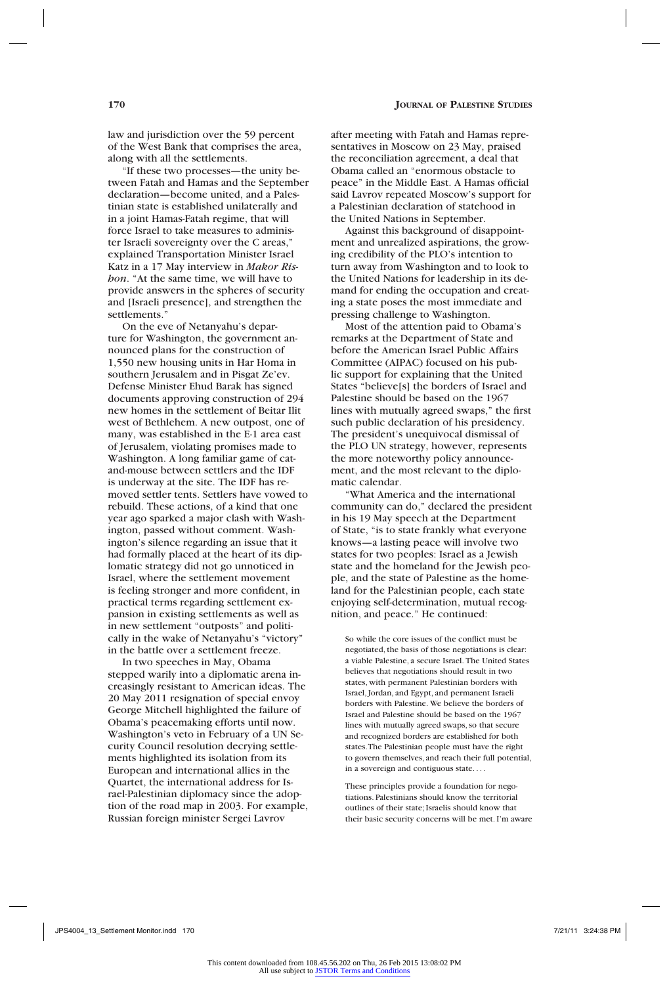law and jurisdiction over the 59 percent of the West Bank that comprises the area, along with all the settlements.

"If these two processes—the unity between Fatah and Hamas and the September declaration—become united, and a Palestinian state is established unilaterally and in a joint Hamas-Fatah regime, that will force Israel to take measures to administer Israeli sovereignty over the C areas," explained Transportation Minister Israel Katz in a 17 May interview in *Makor Rishon*. "At the same time, we will have to provide answers in the spheres of security and [Israeli presence], and strengthen the settlements."

On the eve of Netanyahu's departure for Washington, the government announced plans for the construction of 1,550 new housing units in Har Homa in southern Jerusalem and in Pisgat Ze'ev. Defense Minister Ehud Barak has signed documents approving construction of 294 new homes in the settlement of Beitar Ilit west of Bethlehem. A new outpost, one of many, was established in the E-1 area east of Jerusalem, violating promises made to Washington. A long familiar game of catand-mouse between settlers and the IDF is underway at the site. The IDF has removed settler tents. Settlers have vowed to rebuild. These actions, of a kind that one year ago sparked a major clash with Washington, passed without comment. Washington's silence regarding an issue that it had formally placed at the heart of its diplomatic strategy did not go unnoticed in Israel, where the settlement movement is feeling stronger and more confident, in practical terms regarding settlement expansion in existing settlements as well as in new settlement "outposts" and politically in the wake of Netanyahu's "victory" in the battle over a settlement freeze.

In two speeches in May, Obama stepped warily into a diplomatic arena increasingly resistant to American ideas. The 20 May 2011 resignation of special envoy George Mitchell highlighted the failure of Obama's peacemaking efforts until now. Washington's veto in February of a UN Security Council resolution decrying settlements highlighted its isolation from its European and international allies in the Quartet, the international address for Israel-Palestinian diplomacy since the adoption of the road map in 2003. For example, Russian foreign minister Sergei Lavrov

after meeting with Fatah and Hamas representatives in Moscow on 23 May, praised the reconciliation agreement, a deal that Obama called an "enormous obstacle to peace" in the Middle East. A Hamas official said Lavrov repeated Moscow's support for a Palestinian declaration of statehood in the United Nations in September.

Against this background of disappointment and unrealized aspirations, the growing credibility of the PLO's intention to turn away from Washington and to look to the United Nations for leadership in its demand for ending the occupation and creating a state poses the most immediate and pressing challenge to Washington.

Most of the attention paid to Obama's remarks at the Department of State and before the American Israel Public Affairs Committee (AIPAC) focused on his public support for explaining that the United States "believe[s] the borders of Israel and Palestine should be based on the 1967 lines with mutually agreed swaps," the first such public declaration of his presidency. The president's unequivocal dismissal of the PLO UN strategy, however, represents the more noteworthy policy announcement, and the most relevant to the diplomatic calendar.

"What America and the international community can do," declared the president in his 19 May speech at the Department of State, "is to state frankly what everyone knows—a lasting peace will involve two states for two peoples: Israel as a Jewish state and the homeland for the Jewish people, and the state of Palestine as the homeland for the Palestinian people, each state enjoying self-determination, mutual recognition, and peace." He continued:

So while the core issues of the conflict must be negotiated, the basis of those negotiations is clear: a viable Palestine, a secure Israel. The United States believes that negotiations should result in two states, with permanent Palestinian borders with Israel, Jordan, and Egypt, and permanent Israeli borders with Palestine. We believe the borders of Israel and Palestine should be based on the 1967 lines with mutually agreed swaps, so that secure and recognized borders are established for both states. The Palestinian people must have the right to govern themselves, and reach their full potential, in a sovereign and contiguous state. . . .

These principles provide a foundation for negotiations. Palestinians should know the territorial outlines of their state; Israelis should know that their basic security concerns will be met. I'm aware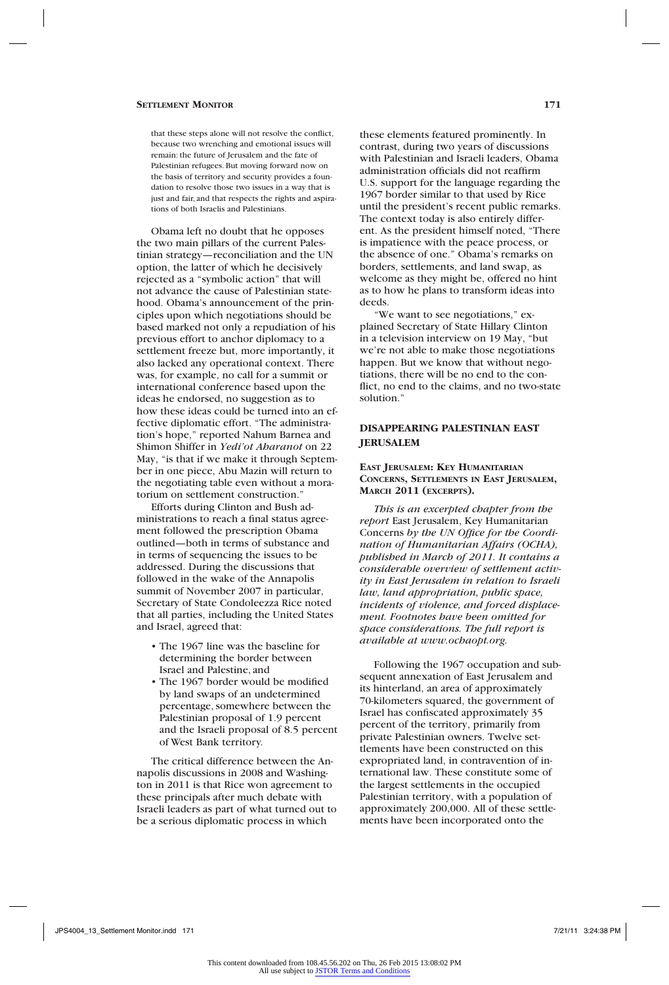#### **Settlement Monitor 171**

that these steps alone will not resolve the conflict, because two wrenching and emotional issues will remain: the future of Jerusalem and the fate of Palestinian refugees. But moving forward now on the basis of territory and security provides a foundation to resolve those two issues in a way that is just and fair, and that respects the rights and aspirations of both Israelis and Palestinians.

Obama left no doubt that he opposes the two main pillars of the current Palestinian strategy—reconciliation and the UN option, the latter of which he decisively rejected as a "symbolic action" that will not advance the cause of Palestinian statehood. Obama's announcement of the principles upon which negotiations should be based marked not only a repudiation of his previous effort to anchor diplomacy to a settlement freeze but, more importantly, it also lacked any operational context. There was, for example, no call for a summit or international conference based upon the ideas he endorsed, no suggestion as to how these ideas could be turned into an effective diplomatic effort. "The administration's hope," reported Nahum Barnea and Shimon Shiffer in *Yedi'ot Aharanot* on 22 May, "is that if we make it through September in one piece, Abu Mazin will return to the negotiating table even without a moratorium on settlement construction."

Efforts during Clinton and Bush administrations to reach a final status agreement followed the prescription Obama outlined—both in terms of substance and in terms of sequencing the issues to be addressed. During the discussions that followed in the wake of the Annapolis summit of November 2007 in particular, Secretary of State Condoleezza Rice noted that all parties, including the United States and Israel, agreed that:

- The 1967 line was the baseline for determining the border between Israel and Palestine, and
- The 1967 border would be modified by land swaps of an undetermined percentage, somewhere between the Palestinian proposal of 1.9 percent and the Israeli proposal of 8.5 percent of West Bank territory.

The critical difference between the Annapolis discussions in 2008 and Washington in 2011 is that Rice won agreement to these principals after much debate with Israeli leaders as part of what turned out to be a serious diplomatic process in which

these elements featured prominently. In contrast, during two years of discussions with Palestinian and Israeli leaders, Obama administration officials did not reaffirm U.S. support for the language regarding the 1967 border similar to that used by Rice until the president's recent public remarks. The context today is also entirely different. As the president himself noted, "There is impatience with the peace process, or the absence of one." Obama's remarks on borders, settlements, and land swap, as welcome as they might be, offered no hint as to how he plans to transform ideas into deeds.

"We want to see negotiations," explained Secretary of State Hillary Clinton in a television interview on 19 May, "but we're not able to make those negotiations happen. But we know that without negotiations, there will be no end to the conflict, no end to the claims, and no two-state solution."

# **DISAPPEARING PALESTINIAN EAST JERUSALEM**

#### **East Jerusalem: Key Humanitarian Concerns, Settlements in East Jerusalem, March 2011 (excerpts).**

*This is an excerpted chapter from the report* East Jerusalem, Key Humanitarian Concerns *by the UN Office for the Coordination of Humanitarian Affairs (OCHA), published in March of 2011. It contains a considerable overview of settlement activity in East Jerusalem in relation to Israeli law, land appropriation, public space, incidents of violence, and forced displacement. Footnotes have been omitted for space considerations. The full report is available at www.ochaopt.org.* 

Following the 1967 occupation and subsequent annexation of East Jerusalem and its hinterland, an area of approximately 70-kilometers squared, the government of Israel has confiscated approximately 35 percent of the territory, primarily from private Palestinian owners. Twelve settlements have been constructed on this expropriated land, in contravention of international law. These constitute some of the largest settlements in the occupied Palestinian territory, with a population of approximately 200,000. All of these settlements have been incorporated onto the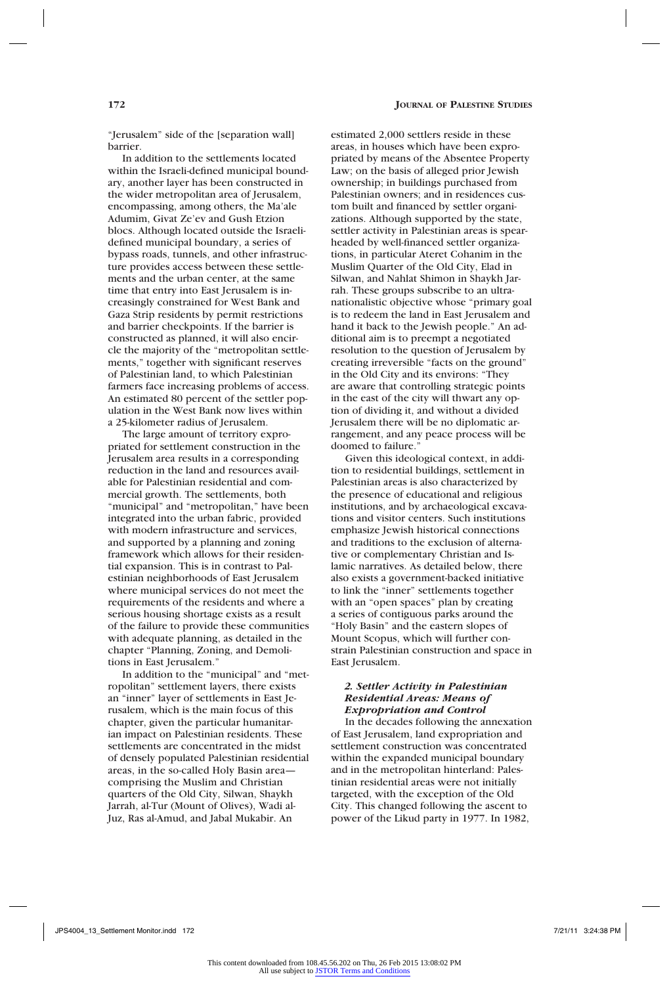"Jerusalem" side of the [separation wall] barrier.

In addition to the settlements located within the Israeli-defined municipal boundary, another layer has been constructed in the wider metropolitan area of Jerusalem, encompassing, among others, the Ma'ale Adumim, Givat Ze'ev and Gush Etzion blocs. Although located outside the Israelidefined municipal boundary, a series of bypass roads, tunnels, and other infrastructure provides access between these settlements and the urban center, at the same time that entry into East Jerusalem is increasingly constrained for West Bank and Gaza Strip residents by permit restrictions and barrier checkpoints. If the barrier is constructed as planned, it will also encircle the majority of the "metropolitan settlements," together with significant reserves of Palestinian land, to which Palestinian farmers face increasing problems of access. An estimated 80 percent of the settler population in the West Bank now lives within a 25-kilometer radius of Jerusalem.

The large amount of territory expropriated for settlement construction in the Jerusalem area results in a corresponding reduction in the land and resources available for Palestinian residential and commercial growth. The settlements, both "municipal" and "metropolitan," have been integrated into the urban fabric, provided with modern infrastructure and services, and supported by a planning and zoning framework which allows for their residential expansion. This is in contrast to Palestinian neighborhoods of East Jerusalem where municipal services do not meet the requirements of the residents and where a serious housing shortage exists as a result of the failure to provide these communities with adequate planning, as detailed in the chapter "Planning, Zoning, and Demolitions in East Jerusalem."

In addition to the "municipal" and "metropolitan" settlement layers, there exists an "inner" layer of settlements in East Jerusalem, which is the main focus of this chapter, given the particular humanitarian impact on Palestinian residents. These settlements are concentrated in the midst of densely populated Palestinian residential areas, in the so-called Holy Basin area comprising the Muslim and Christian quarters of the Old City, Silwan, Shaykh Jarrah, al-Tur (Mount of Olives), Wadi al-Juz, Ras al-Amud, and Jabal Mukabir. An

estimated 2,000 settlers reside in these areas, in houses which have been expropriated by means of the Absentee Property Law; on the basis of alleged prior Jewish ownership; in buildings purchased from Palestinian owners; and in residences custom built and financed by settler organizations. Although supported by the state, settler activity in Palestinian areas is spearheaded by well-financed settler organizations, in particular Ateret Cohanim in the Muslim Quarter of the Old City, Elad in Silwan, and Nahlat Shimon in Shaykh Jarrah. These groups subscribe to an ultranationalistic objective whose "primary goal is to redeem the land in East Jerusalem and hand it back to the Jewish people." An additional aim is to preempt a negotiated resolution to the question of Jerusalem by creating irreversible "facts on the ground" in the Old City and its environs: "They are aware that controlling strategic points in the east of the city will thwart any option of dividing it, and without a divided Jerusalem there will be no diplomatic arrangement, and any peace process will be doomed to failure.

Given this ideological context, in addition to residential buildings, settlement in Palestinian areas is also characterized by the presence of educational and religious institutions, and by archaeological excavations and visitor centers. Such institutions emphasize Jewish historical connections and traditions to the exclusion of alternative or complementary Christian and Islamic narratives. As detailed below, there also exists a government-backed initiative to link the "inner" settlements together with an "open spaces" plan by creating a series of contiguous parks around the "Holy Basin" and the eastern slopes of Mount Scopus, which will further constrain Palestinian construction and space in East Jerusalem.

## *2. Settler Activity in Palestinian Residential Areas: Means of Expropriation and Control*

In the decades following the annexation of East Jerusalem, land expropriation and settlement construction was concentrated within the expanded municipal boundary and in the metropolitan hinterland: Palestinian residential areas were not initially targeted, with the exception of the Old City. This changed following the ascent to power of the Likud party in 1977. In 1982,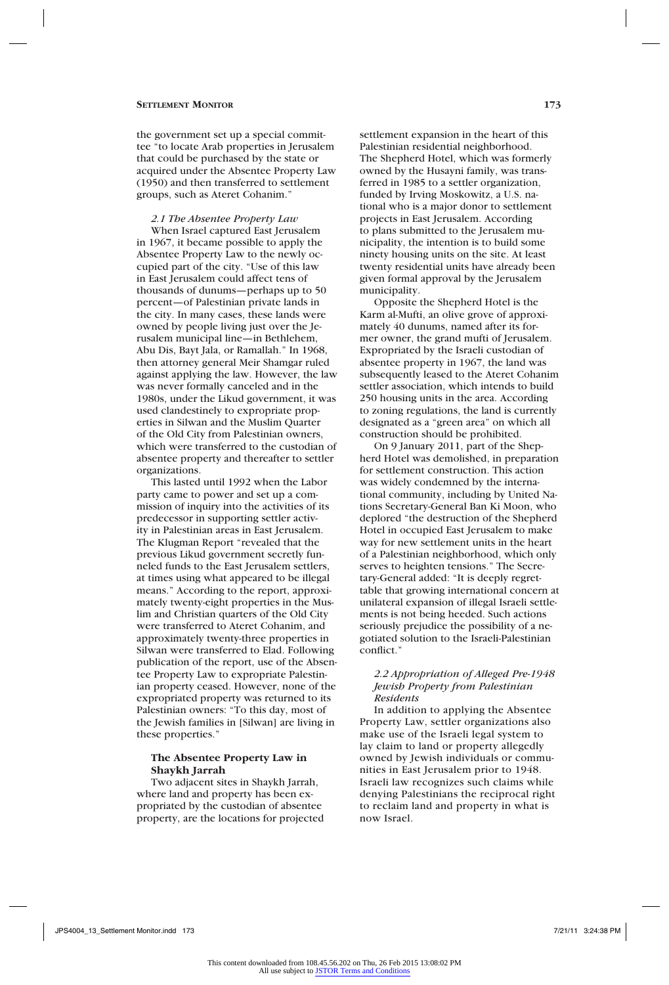#### **Settlement Monitor 173**

the government set up a special committee "to locate Arab properties in Jerusalem that could be purchased by the state or acquired under the Absentee Property Law (1950) and then transferred to settlement groups, such as Ateret Cohanim."

*2.1 The Absentee Property Law*

When Israel captured East Jerusalem in 1967, it became possible to apply the Absentee Property Law to the newly occupied part of the city. "Use of this law in East Jerusalem could affect tens of thousands of dunums—perhaps up to 50 percent—of Palestinian private lands in the city. In many cases, these lands were owned by people living just over the Jerusalem municipal line—in Bethlehem, Abu Dis, Bayt Jala, or Ramallah." In 1968, then attorney general Meir Shamgar ruled against applying the law. However, the law was never formally canceled and in the 1980s, under the Likud government, it was used clandestinely to expropriate properties in Silwan and the Muslim Quarter of the Old City from Palestinian owners, which were transferred to the custodian of absentee property and thereafter to settler organizations.

This lasted until 1992 when the Labor party came to power and set up a commission of inquiry into the activities of its predecessor in supporting settler activity in Palestinian areas in East Jerusalem. The Klugman Report "revealed that the previous Likud government secretly funneled funds to the East Jerusalem settlers, at times using what appeared to be illegal means." According to the report, approximately twenty-eight properties in the Muslim and Christian quarters of the Old City were transferred to Ateret Cohanim, and approximately twenty-three properties in Silwan were transferred to Elad. Following publication of the report, use of the Absentee Property Law to expropriate Palestinian property ceased. However, none of the expropriated property was returned to its Palestinian owners: "To this day, most of the Jewish families in [Silwan] are living in these properties."

#### **The Absentee Property Law in Shaykh Jarrah**

Two adjacent sites in Shaykh Jarrah, where land and property has been expropriated by the custodian of absentee property, are the locations for projected settlement expansion in the heart of this Palestinian residential neighborhood. The Shepherd Hotel, which was formerly owned by the Husayni family, was transferred in 1985 to a settler organization, funded by Irving Moskowitz, a U.S. national who is a major donor to settlement projects in East Jerusalem. According to plans submitted to the Jerusalem municipality, the intention is to build some ninety housing units on the site. At least twenty residential units have already been given formal approval by the Jerusalem municipality.

Opposite the Shepherd Hotel is the Karm al-Mufti, an olive grove of approximately 40 dunums, named after its former owner, the grand mufti of Jerusalem. Expropriated by the Israeli custodian of absentee property in 1967, the land was subsequently leased to the Ateret Cohanim settler association, which intends to build 250 housing units in the area. According to zoning regulations, the land is currently designated as a "green area" on which all construction should be prohibited.

On 9 January 2011, part of the Shepherd Hotel was demolished, in preparation for settlement construction. This action was widely condemned by the international community, including by United Nations Secretary-General Ban Ki Moon, who deplored "the destruction of the Shepherd Hotel in occupied East Jerusalem to make way for new settlement units in the heart of a Palestinian neighborhood, which only serves to heighten tensions." The Secretary-General added: "It is deeply regrettable that growing international concern at unilateral expansion of illegal Israeli settlements is not being heeded. Such actions seriously prejudice the possibility of a negotiated solution to the Israeli-Palestinian conflict."

## *2.2 Appropriation of Alleged Pre-1948 Jewish Property from Palestinian Residents*

In addition to applying the Absentee Property Law, settler organizations also make use of the Israeli legal system to lay claim to land or property allegedly owned by Jewish individuals or communities in East Jerusalem prior to 1948. Israeli law recognizes such claims while denying Palestinians the reciprocal right to reclaim land and property in what is now Israel.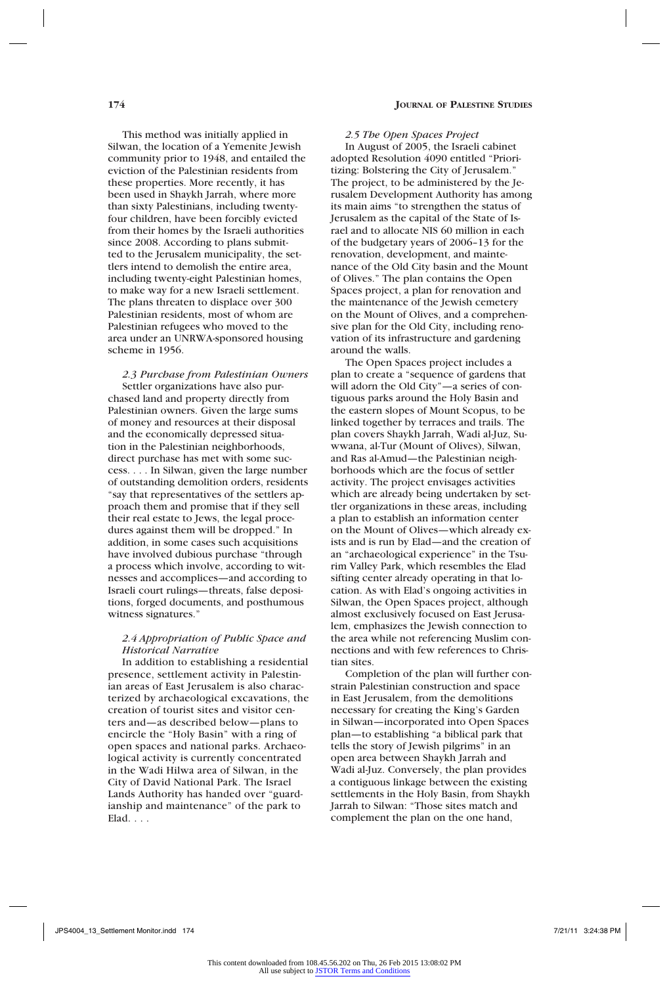This method was initially applied in Silwan, the location of a Yemenite Jewish community prior to 1948, and entailed the eviction of the Palestinian residents from these properties. More recently, it has been used in Shaykh Jarrah, where more than sixty Palestinians, including twentyfour children, have been forcibly evicted from their homes by the Israeli authorities since 2008. According to plans submitted to the Jerusalem municipality, the settlers intend to demolish the entire area, including twenty-eight Palestinian homes, to make way for a new Israeli settlement. The plans threaten to displace over 300 Palestinian residents, most of whom are Palestinian refugees who moved to the area under an UNRWA-sponsored housing scheme in 1956.

*2.3 Purchase from Palestinian Owners* Settler organizations have also purchased land and property directly from Palestinian owners. Given the large sums of money and resources at their disposal and the economically depressed situation in the Palestinian neighborhoods, direct purchase has met with some success. . . . In Silwan, given the large number of outstanding demolition orders, residents "say that representatives of the settlers approach them and promise that if they sell their real estate to Jews, the legal procedures against them will be dropped." In addition, in some cases such acquisitions have involved dubious purchase "through a process which involve, according to witnesses and accomplices—and according to Israeli court rulings—threats, false depositions, forged documents, and posthumous witness signatures."

#### *2.4 Appropriation of Public Space and Historical Narrative*

In addition to establishing a residential presence, settlement activity in Palestinian areas of East Jerusalem is also characterized by archaeological excavations, the creation of tourist sites and visitor centers and—as described below—plans to encircle the "Holy Basin" with a ring of open spaces and national parks. Archaeological activity is currently concentrated in the Wadi Hilwa area of Silwan, in the City of David National Park. The Israel Lands Authority has handed over "guardianship and maintenance" of the park to Elad. . . .

#### *2.5 The Open Spaces Project*

In August of 2005, the Israeli cabinet adopted Resolution 4090 entitled "Prioritizing: Bolstering the City of Jerusalem." The project, to be administered by the Jerusalem Development Authority has among its main aims "to strengthen the status of Jerusalem as the capital of the State of Israel and to allocate NIS 60 million in each of the budgetary years of 2006–13 for the renovation, development, and maintenance of the Old City basin and the Mount of Olives." The plan contains the Open Spaces project, a plan for renovation and the maintenance of the Jewish cemetery on the Mount of Olives, and a comprehensive plan for the Old City, including renovation of its infrastructure and gardening around the walls.

The Open Spaces project includes a plan to create a "sequence of gardens that will adorn the Old City"—a series of contiguous parks around the Holy Basin and the eastern slopes of Mount Scopus, to be linked together by terraces and trails. The plan covers Shaykh Jarrah, Wadi al-Juz, Suwwana, al-Tur (Mount of Olives), Silwan, and Ras al-Amud—the Palestinian neighborhoods which are the focus of settler activity. The project envisages activities which are already being undertaken by settler organizations in these areas, including a plan to establish an information center on the Mount of Olives—which already exists and is run by Elad—and the creation of an "archaeological experience" in the Tsurim Valley Park, which resembles the Elad sifting center already operating in that location. As with Elad's ongoing activities in Silwan, the Open Spaces project, although almost exclusively focused on East Jerusalem, emphasizes the Jewish connection to the area while not referencing Muslim connections and with few references to Christian sites.

Completion of the plan will further constrain Palestinian construction and space in East Jerusalem, from the demolitions necessary for creating the King's Garden in Silwan—incorporated into Open Spaces plan—to establishing "a biblical park that tells the story of Jewish pilgrims" in an open area between Shaykh Jarrah and Wadi al-Juz. Conversely, the plan provides a contiguous linkage between the existing settlements in the Holy Basin, from Shaykh Jarrah to Silwan: "Those sites match and complement the plan on the one hand,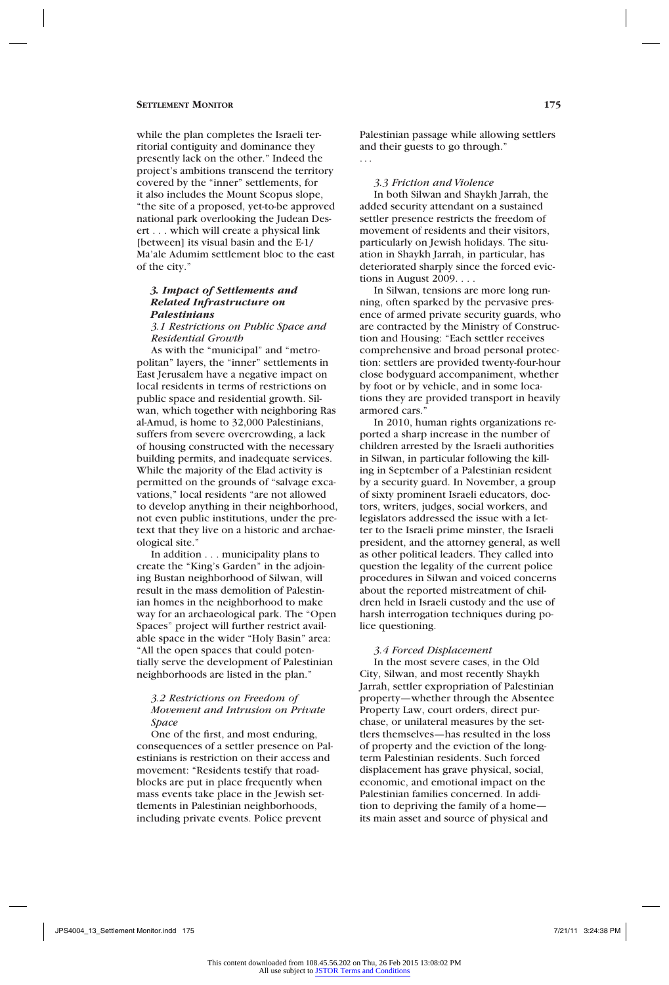while the plan completes the Israeli territorial contiguity and dominance they presently lack on the other." Indeed the project's ambitions transcend the territory covered by the "inner" settlements, for it also includes the Mount Scopus slope, "the site of a proposed, yet-to-be approved national park overlooking the Judean Desert . . . which will create a physical link [between] its visual basin and the E-1/ Ma'ale Adumim settlement bloc to the east of the city."

## *3. Impact of Settlements and Related Infrastructure on Palestinians*

*3.1 Restrictions on Public Space and Residential Growth*

As with the "municipal" and "metropolitan" layers, the "inner" settlements in East Jerusalem have a negative impact on local residents in terms of restrictions on public space and residential growth. Silwan, which together with neighboring Ras al-Amud, is home to 32,000 Palestinians, suffers from severe overcrowding, a lack of housing constructed with the necessary building permits, and inadequate services. While the majority of the Elad activity is permitted on the grounds of "salvage excavations," local residents "are not allowed to develop anything in their neighborhood, not even public institutions, under the pretext that they live on a historic and archaeological site."

In addition . . . municipality plans to create the "King's Garden" in the adjoining Bustan neighborhood of Silwan, will result in the mass demolition of Palestinian homes in the neighborhood to make way for an archaeological park. The "Open Spaces" project will further restrict available space in the wider "Holy Basin" area: "All the open spaces that could potentially serve the development of Palestinian neighborhoods are listed in the plan."

## *3.2 Restrictions on Freedom of Movement and Intrusion on Private Space*

One of the first, and most enduring, consequences of a settler presence on Palestinians is restriction on their access and movement: "Residents testify that roadblocks are put in place frequently when mass events take place in the Jewish settlements in Palestinian neighborhoods, including private events. Police prevent

Palestinian passage while allowing settlers and their guests to go through." . . .

*3.3 Friction and Violence*

In both Silwan and Shaykh Jarrah, the added security attendant on a sustained settler presence restricts the freedom of movement of residents and their visitors, particularly on Jewish holidays. The situation in Shaykh Jarrah, in particular, has deteriorated sharply since the forced evictions in August  $2009...$ 

In Silwan, tensions are more long running, often sparked by the pervasive presence of armed private security guards, who are contracted by the Ministry of Construction and Housing: "Each settler receives comprehensive and broad personal protection: settlers are provided twenty-four-hour close bodyguard accompaniment, whether by foot or by vehicle, and in some locations they are provided transport in heavily armored cars."

In 2010, human rights organizations reported a sharp increase in the number of children arrested by the Israeli authorities in Silwan, in particular following the killing in September of a Palestinian resident by a security guard. In November, a group of sixty prominent Israeli educators, doctors, writers, judges, social workers, and legislators addressed the issue with a letter to the Israeli prime minster, the Israeli president, and the attorney general, as well as other political leaders. They called into question the legality of the current police procedures in Silwan and voiced concerns about the reported mistreatment of children held in Israeli custody and the use of harsh interrogation techniques during police questioning.

## *3.4 Forced Displacement*

In the most severe cases, in the Old City, Silwan, and most recently Shaykh Jarrah, settler expropriation of Palestinian property—whether through the Absentee Property Law, court orders, direct purchase, or unilateral measures by the settlers themselves—has resulted in the loss of property and the eviction of the longterm Palestinian residents. Such forced displacement has grave physical, social, economic, and emotional impact on the Palestinian families concerned. In addition to depriving the family of a home its main asset and source of physical and